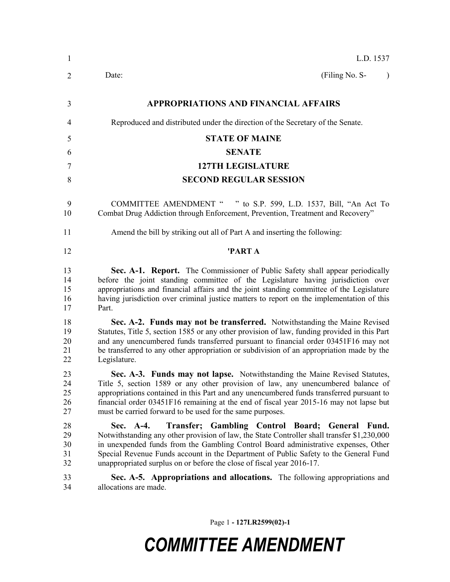| $\mathbf{1}$               | L.D. 1537                                                                                                                                                                                                                                                                                                                                                                                                             |
|----------------------------|-----------------------------------------------------------------------------------------------------------------------------------------------------------------------------------------------------------------------------------------------------------------------------------------------------------------------------------------------------------------------------------------------------------------------|
| 2                          | (Filing No. S-<br>Date:<br>$\lambda$                                                                                                                                                                                                                                                                                                                                                                                  |
| 3                          | <b>APPROPRIATIONS AND FINANCIAL AFFAIRS</b>                                                                                                                                                                                                                                                                                                                                                                           |
| 4                          | Reproduced and distributed under the direction of the Secretary of the Senate.                                                                                                                                                                                                                                                                                                                                        |
| 5                          | <b>STATE OF MAINE</b>                                                                                                                                                                                                                                                                                                                                                                                                 |
| 6                          | <b>SENATE</b>                                                                                                                                                                                                                                                                                                                                                                                                         |
| 7                          | <b>127TH LEGISLATURE</b>                                                                                                                                                                                                                                                                                                                                                                                              |
| 8                          | <b>SECOND REGULAR SESSION</b>                                                                                                                                                                                                                                                                                                                                                                                         |
| 9<br>10                    | COMMITTEE AMENDMENT " " to S.P. 599, L.D. 1537, Bill, "An Act To<br>Combat Drug Addiction through Enforcement, Prevention, Treatment and Recovery"                                                                                                                                                                                                                                                                    |
| 11                         | Amend the bill by striking out all of Part A and inserting the following:                                                                                                                                                                                                                                                                                                                                             |
| 12                         | 'PART A                                                                                                                                                                                                                                                                                                                                                                                                               |
| 13<br>14<br>15<br>16<br>17 | Sec. A-1. Report. The Commissioner of Public Safety shall appear periodically<br>before the joint standing committee of the Legislature having jurisdiction over<br>appropriations and financial affairs and the joint standing committee of the Legislature<br>having jurisdiction over criminal justice matters to report on the implementation of this<br>Part.                                                    |
| 18<br>19<br>20<br>21<br>22 | Sec. A-2. Funds may not be transferred. Notwithstanding the Maine Revised<br>Statutes, Title 5, section 1585 or any other provision of law, funding provided in this Part<br>and any unencumbered funds transferred pursuant to financial order 03451F16 may not<br>be transferred to any other appropriation or subdivision of an appropriation made by the<br>Legislature.                                          |
| 23<br>24<br>25<br>26<br>27 | Sec. A-3. Funds may not lapse. Notwithstanding the Maine Revised Statutes,<br>Title 5, section 1589 or any other provision of law, any unencumbered balance of<br>appropriations contained in this Part and any unencumbered funds transferred pursuant to<br>financial order 03451F16 remaining at the end of fiscal year 2015-16 may not lapse but<br>must be carried forward to be used for the same purposes.     |
| 28<br>29<br>30<br>31<br>32 | Sec. A-4.<br>Transfer; Gambling Control Board; General<br>Fund.<br>Notwithstanding any other provision of law, the State Controller shall transfer \$1,230,000<br>in unexpended funds from the Gambling Control Board administrative expenses, Other<br>Special Revenue Funds account in the Department of Public Safety to the General Fund<br>unappropriated surplus on or before the close of fiscal year 2016-17. |
| 33<br>34                   | Sec. A-5. Appropriations and allocations. The following appropriations and<br>allocations are made.                                                                                                                                                                                                                                                                                                                   |

Page 1 **- 127LR2599(02)-1**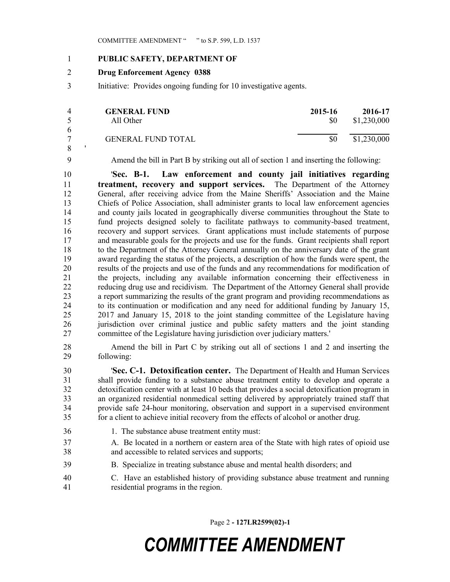## **PUBLIC SAFETY, DEPARTMENT OF**

## **Drug Enforcement Agency 0388**

Initiative: Provides ongoing funding for 10 investigative agents.

|    | <b>GENERAL FUND</b><br>All Other | 2015-16<br>SO. | 2016-17<br>\$1,230,000 |
|----|----------------------------------|----------------|------------------------|
| -6 | <b>GENERAL FUND TOTAL</b>        | SO.            | \$1,230,000            |
|    |                                  |                |                        |

'

Amend the bill in Part B by striking out all of section 1 and inserting the following:

 '**Sec. B-1. Law enforcement and county jail initiatives regarding treatment, recovery and support services.** The Department of the Attorney General, after receiving advice from the Maine Sheriffs' Association and the Maine Chiefs of Police Association, shall administer grants to local law enforcement agencies and county jails located in geographically diverse communities throughout the State to fund projects designed solely to facilitate pathways to community-based treatment, recovery and support services. Grant applications must include statements of purpose and measurable goals for the projects and use for the funds. Grant recipients shall report to the Department of the Attorney General annually on the anniversary date of the grant award regarding the status of the projects, a description of how the funds were spent, the results of the projects and use of the funds and any recommendations for modification of the projects, including any available information concerning their effectiveness in reducing drug use and recidivism. The Department of the Attorney General shall provide a report summarizing the results of the grant program and providing recommendations as to its continuation or modification and any need for additional funding by January 15, 2017 and January 15, 2018 to the joint standing committee of the Legislature having jurisdiction over criminal justice and public safety matters and the joint standing committee of the Legislature having jurisdiction over judiciary matters.'

 Amend the bill in Part C by striking out all of sections 1 and 2 and inserting the following:

 '**Sec. C-1. Detoxification center.** The Department of Health and Human Services shall provide funding to a substance abuse treatment entity to develop and operate a detoxification center with at least 10 beds that provides a social detoxification program in an organized residential nonmedical setting delivered by appropriately trained staff that provide safe 24-hour monitoring, observation and support in a supervised environment for a client to achieve initial recovery from the effects of alcohol or another drug.

- 1. The substance abuse treatment entity must:
- A. Be located in a northern or eastern area of the State with high rates of opioid use and accessible to related services and supports;
- B. Specialize in treating substance abuse and mental health disorders; and
- C. Have an established history of providing substance abuse treatment and running residential programs in the region.

Page 2 **- 127LR2599(02)-1**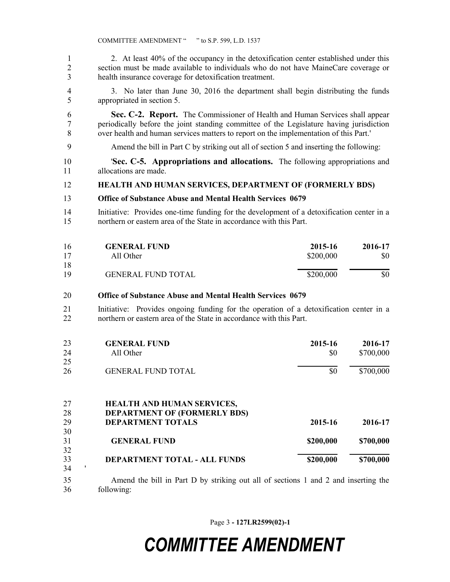2. At least 40% of the occupancy in the detoxification center established under this section must be made available to individuals who do not have MaineCare coverage or health insurance coverage for detoxification treatment.

 3. No later than June 30, 2016 the department shall begin distributing the funds appropriated in section 5.

- **Sec. C-2. Report.** The Commissioner of Health and Human Services shall appear periodically before the joint standing committee of the Legislature having jurisdiction over health and human services matters to report on the implementation of this Part.'
- Amend the bill in Part C by striking out all of section 5 and inserting the following:
- '**Sec. C-5. Appropriations and allocations.** The following appropriations and allocations are made.

### **HEALTH AND HUMAN SERVICES, DEPARTMENT OF (FORMERLY BDS)**

#### **Office of Substance Abuse and Mental Health Services 0679**

 Initiative: Provides one-time funding for the development of a detoxification center in a northern or eastern area of the State in accordance with this Part.

| 16 | <b>GENERAL FUND</b>       | 2015-16   | 2016-17 |
|----|---------------------------|-----------|---------|
| 17 | All Other                 | \$200,000 | \$0     |
| 18 |                           |           |         |
| 19 | <b>GENERAL FUND TOTAL</b> | \$200,000 | \$0     |

#### **Office of Substance Abuse and Mental Health Services 0679**

 Initiative: Provides ongoing funding for the operation of a detoxification center in a northern or eastern area of the State in accordance with this Part.

| 23 | <b>GENERAL FUND</b>       | 2015-16 | 2016-17   |
|----|---------------------------|---------|-----------|
| 24 | All Other                 | \$0     | \$700,000 |
| 25 |                           |         |           |
| 26 | <b>GENERAL FUND TOTAL</b> | \$0     | \$700,000 |

| 27 | <b>HEALTH AND HUMAN SERVICES,</b>   |           |           |
|----|-------------------------------------|-----------|-----------|
| 28 | <b>DEPARTMENT OF (FORMERLY BDS)</b> |           |           |
| 29 | <b>DEPARTMENT TOTALS</b>            | 2015-16   | 2016-17   |
| 30 |                                     |           |           |
| 31 | <b>GENERAL FUND</b>                 | \$200,000 | \$700,000 |
| 32 |                                     |           |           |
| 33 | DEPARTMENT TOTAL - ALL FUNDS        | \$200,000 | \$700,000 |
| 34 |                                     |           |           |

 Amend the bill in Part D by striking out all of sections 1 and 2 and inserting the following:

Page 3 **- 127LR2599(02)-1**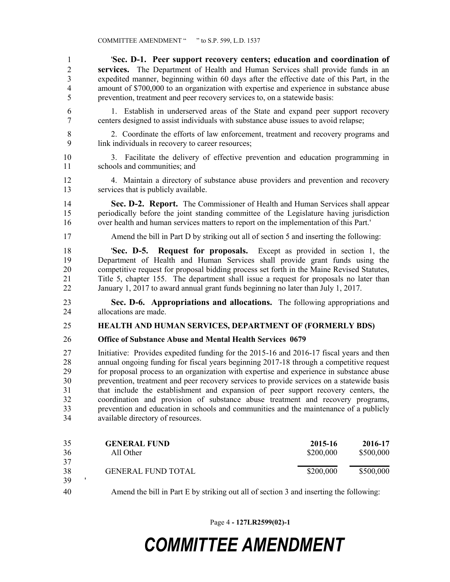'**Sec. D-1. Peer support recovery centers; education and coordination of services.** The Department of Health and Human Services shall provide funds in an expedited manner, beginning within 60 days after the effective date of this Part, in the amount of \$700,000 to an organization with expertise and experience in substance abuse prevention, treatment and peer recovery services to, on a statewide basis:

- 1. Establish in underserved areas of the State and expand peer support recovery centers designed to assist individuals with substance abuse issues to avoid relapse;
- 2. Coordinate the efforts of law enforcement, treatment and recovery programs and link individuals in recovery to career resources;
- 3. Facilitate the delivery of effective prevention and education programming in schools and communities; and
- 4. Maintain a directory of substance abuse providers and prevention and recovery services that is publicly available.

 **Sec. D-2. Report.** The Commissioner of Health and Human Services shall appear periodically before the joint standing committee of the Legislature having jurisdiction over health and human services matters to report on the implementation of this Part.'

Amend the bill in Part D by striking out all of section 5 and inserting the following:

 '**Sec. D-5. Request for proposals.** Except as provided in section 1, the Department of Health and Human Services shall provide grant funds using the competitive request for proposal bidding process set forth in the Maine Revised Statutes, Title 5, chapter 155. The department shall issue a request for proposals no later than January 1, 2017 to award annual grant funds beginning no later than July 1, 2017.

 **Sec. D-6. Appropriations and allocations.** The following appropriations and allocations are made.

### **HEALTH AND HUMAN SERVICES, DEPARTMENT OF (FORMERLY BDS)**

### **Office of Substance Abuse and Mental Health Services 0679**

 Initiative: Provides expedited funding for the 2015-16 and 2016-17 fiscal years and then annual ongoing funding for fiscal years beginning 2017-18 through a competitive request for proposal process to an organization with expertise and experience in substance abuse prevention, treatment and peer recovery services to provide services on a statewide basis that include the establishment and expansion of peer support recovery centers, the coordination and provision of substance abuse treatment and recovery programs, prevention and education in schools and communities and the maintenance of a publicly available directory of resources.

| 35 | <b>GENERAL FUND</b>       | 2015-16   | 2016-17   |
|----|---------------------------|-----------|-----------|
| 36 | All Other                 | \$200,000 | \$500,000 |
| 37 |                           |           |           |
| 38 | <b>GENERAL FUND TOTAL</b> | \$200,000 | \$500,000 |
| 39 |                           |           |           |

Amend the bill in Part E by striking out all of section 3 and inserting the following:

Page 4 **- 127LR2599(02)-1**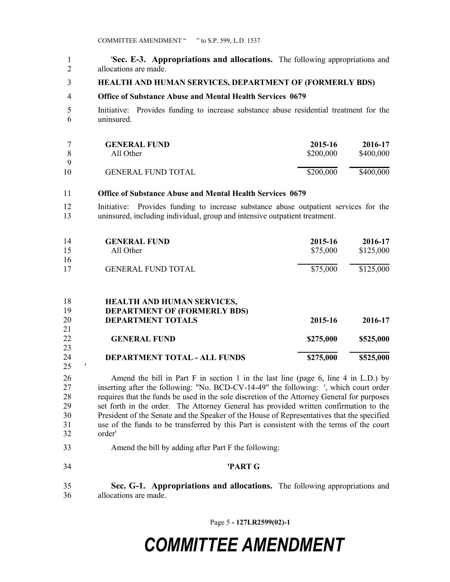'**Sec. E-3. Appropriations and allocations.** The following appropriations and allocations are made.

**HEALTH AND HUMAN SERVICES, DEPARTMENT OF (FORMERLY BDS)**

#### **Office of Substance Abuse and Mental Health Services 0679**

 Initiative: Provides funding to increase substance abuse residential treatment for the uninsured.

|    | <b>GENERAL FUND</b>       | 2015-16   | 2016-17   |
|----|---------------------------|-----------|-----------|
|    | All Other                 | \$200,000 | \$400,000 |
| Q  |                           |           |           |
| 10 | <b>GENERAL FUND TOTAL</b> | \$200,000 | \$400,000 |

#### **Office of Substance Abuse and Mental Health Services 0679**

 Initiative: Provides funding to increase substance abuse outpatient services for the uninsured, including individual, group and intensive outpatient treatment.

| 14<br>15 | <b>GENERAL FUND</b><br>All Other | 2015-16<br>\$75,000 | 2016-17<br>\$125,000 |
|----------|----------------------------------|---------------------|----------------------|
| 16       |                                  |                     |                      |
| 17       | <b>GENERAL FUND TOTAL</b>        | \$75,000            | \$125,000            |

| 18 | <b>HEALTH AND HUMAN SERVICES,</b>   |           |           |
|----|-------------------------------------|-----------|-----------|
| 19 | <b>DEPARTMENT OF (FORMERLY BDS)</b> |           |           |
| 20 | <b>DEPARTMENT TOTALS</b>            | 2015-16   | 2016-17   |
| 21 |                                     |           |           |
| 22 | <b>GENERAL FUND</b>                 | \$275,000 | \$525,000 |
| 23 |                                     |           |           |
| 24 | DEPARTMENT TOTAL - ALL FUNDS        | \$275,000 | \$525,000 |

 Amend the bill in Part F in section 1 in the last line (page 6, line 4 in L.D.) by inserting after the following: "No. BCD-CV-14-49" the following: ', which court order requires that the funds be used in the sole discretion of the Attorney General for purposes set forth in the order. The Attorney General has provided written confirmation to the President of the Senate and the Speaker of the House of Representatives that the specified use of the funds to be transferred by this Part is consistent with the terms of the court order'

Amend the bill by adding after Part F the following:

'

**'PART G**

 **Sec. G-1. Appropriations and allocations.** The following appropriations and allocations are made.

Page 5 **- 127LR2599(02)-1**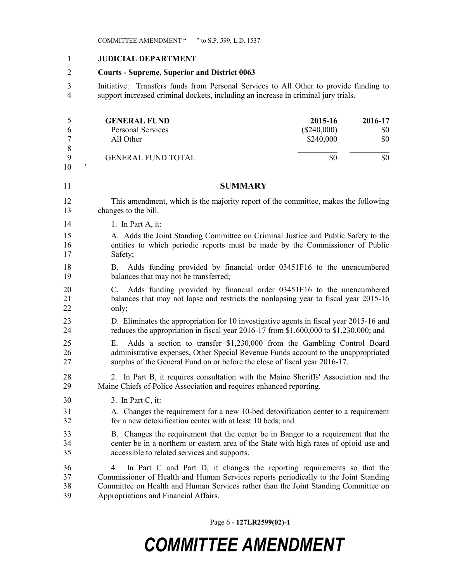### **JUDICIAL DEPARTMENT**

### **Courts - Supreme, Superior and District 0063**

 Initiative: Transfers funds from Personal Services to All Other to provide funding to support increased criminal dockets, including an increase in criminal jury trials.

| 5  | <b>GENERAL FUND</b>                                                                  | 2015-16       | 2016-17 |
|----|--------------------------------------------------------------------------------------|---------------|---------|
| 6  | <b>Personal Services</b>                                                             | $(\$240,000)$ | \$0     |
| 7  | All Other                                                                            | \$240,000     | \$0     |
| 8  |                                                                                      |               |         |
| 9  | <b>GENERAL FUND TOTAL</b>                                                            | \$0           | \$0     |
| 10 |                                                                                      |               |         |
| 11 | SUMMARY                                                                              |               |         |
| 12 | This amendment, which is the majority report of the committee, makes the following   |               |         |
| 13 | changes to the bill.                                                                 |               |         |
| 14 | 1. In Part A, it:                                                                    |               |         |
| 15 | A. Adds the Joint Standing Committee on Criminal Justice and Public Safety to the    |               |         |
| 16 | entities to which periodic reports must be made by the Commissioner of Public        |               |         |
| 17 | Safety;                                                                              |               |         |
| 18 | Adds funding provided by financial order 03451F16 to the unencumbered<br>В.          |               |         |
| 19 | balances that may not be transferred;                                                |               |         |
| 20 | Adds funding provided by financial order 03451F16 to the unencumbered<br>C.          |               |         |
| 21 | balances that may not lapse and restricts the nonlapsing year to fiscal year 2015-16 |               |         |

- 21 balances that may not lapse and restricts the nonlapsing year to fiscal year 2015-16 only; D. Eliminates the appropriation for 10 investigative agents in fiscal year 2015-16 and
	- reduces the appropriation in fiscal year 2016-17 from \$1,600,000 to \$1,230,000; and
	- E. Adds a section to transfer \$1,230,000 from the Gambling Control Board administrative expenses, Other Special Revenue Funds account to the unappropriated surplus of the General Fund on or before the close of fiscal year 2016-17.
	- 2. In Part B, it requires consultation with the Maine Sheriffs' Association and the Maine Chiefs of Police Association and requires enhanced reporting.
	- 3. In Part C, it:
	- A. Changes the requirement for a new 10-bed detoxification center to a requirement for a new detoxification center with at least 10 beds; and
	- B. Changes the requirement that the center be in Bangor to a requirement that the center be in a northern or eastern area of the State with high rates of opioid use and accessible to related services and supports.

 4. In Part C and Part D, it changes the reporting requirements so that the Commissioner of Health and Human Services reports periodically to the Joint Standing Committee on Health and Human Services rather than the Joint Standing Committee on Appropriations and Financial Affairs.

Page 6 **- 127LR2599(02)-1**